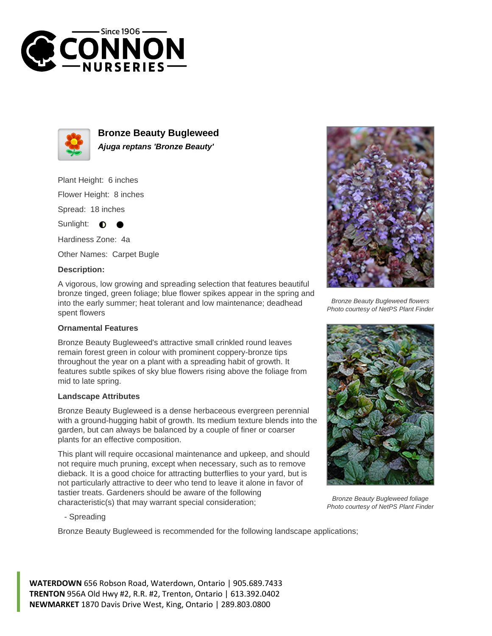



**Bronze Beauty Bugleweed Ajuga reptans 'Bronze Beauty'**

Plant Height: 6 inches

Flower Height: 8 inches

Spread: 18 inches

Sunlight:  $\bullet$ 

Hardiness Zone: 4a

Other Names: Carpet Bugle

## **Description:**

A vigorous, low growing and spreading selection that features beautiful bronze tinged, green foliage; blue flower spikes appear in the spring and into the early summer; heat tolerant and low maintenance; deadhead spent flowers

## **Ornamental Features**

Bronze Beauty Bugleweed's attractive small crinkled round leaves remain forest green in colour with prominent coppery-bronze tips throughout the year on a plant with a spreading habit of growth. It features subtle spikes of sky blue flowers rising above the foliage from mid to late spring.

## **Landscape Attributes**

Bronze Beauty Bugleweed is a dense herbaceous evergreen perennial with a ground-hugging habit of growth. Its medium texture blends into the garden, but can always be balanced by a couple of finer or coarser plants for an effective composition.

This plant will require occasional maintenance and upkeep, and should not require much pruning, except when necessary, such as to remove dieback. It is a good choice for attracting butterflies to your yard, but is not particularly attractive to deer who tend to leave it alone in favor of tastier treats. Gardeners should be aware of the following characteristic(s) that may warrant special consideration;



Bronze Beauty Bugleweed flowers Photo courtesy of NetPS Plant Finder



Bronze Beauty Bugleweed foliage Photo courtesy of NetPS Plant Finder

- Spreading

Bronze Beauty Bugleweed is recommended for the following landscape applications;

**WATERDOWN** 656 Robson Road, Waterdown, Ontario | 905.689.7433 **TRENTON** 956A Old Hwy #2, R.R. #2, Trenton, Ontario | 613.392.0402 **NEWMARKET** 1870 Davis Drive West, King, Ontario | 289.803.0800